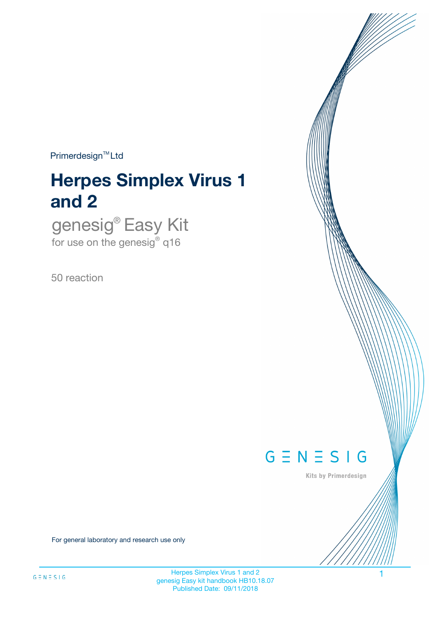$Primerdesign^{\text{TM}}Ltd$ 

# **Herpes Simplex Virus 1 and 2**

genesig® Easy Kit for use on the genesig® q16

50 reaction



Kits by Primerdesign

For general laboratory and research use only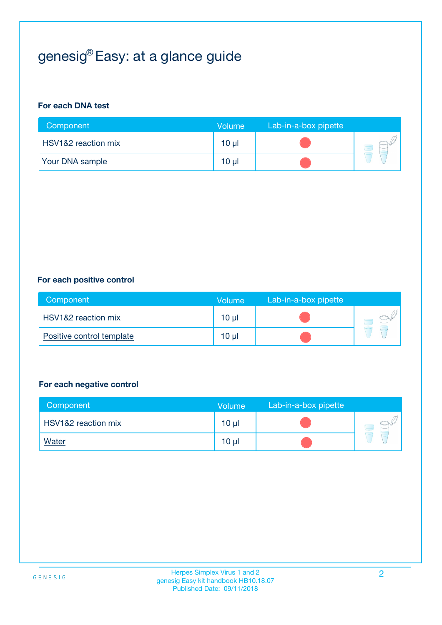# genesig® Easy: at a glance guide

#### **For each DNA test**

| Component              | <b>Volume</b> | Lab-in-a-box pipette |  |
|------------------------|---------------|----------------------|--|
| HSV1&2 reaction mix    | 10 µl         |                      |  |
| <b>Your DNA sample</b> | $10 \mu$      |                      |  |

#### **For each positive control**

| Component                 | Volume          | Lab-in-a-box pipette |  |
|---------------------------|-----------------|----------------------|--|
| HSV1&2 reaction mix       | 10 <sub>µ</sub> |                      |  |
| Positive control template | 10 <sub>µ</sub> |                      |  |

#### **For each negative control**

| Component                      | <b>Volume</b>   | Lab-in-a-box pipette |  |
|--------------------------------|-----------------|----------------------|--|
| <b>HSV1&amp;2</b> reaction mix | 10 <sub>µ</sub> |                      |  |
| <b>Water</b>                   | 10 <sub>µ</sub> |                      |  |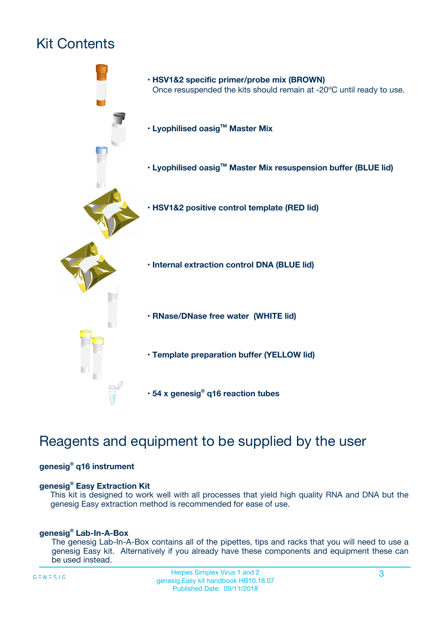# Kit Contents



# Reagents and equipment to be supplied by the user

#### **genesig® q16 instrument**

#### **genesig® Easy Extraction Kit**

This kit is designed to work well with all processes that yield high quality RNA and DNA but the genesig Easy extraction method is recommended for ease of use.

#### **genesig® Lab-In-A-Box**

The genesig Lab-In-A-Box contains all of the pipettes, tips and racks that you will need to use a genesig Easy kit. Alternatively if you already have these components and equipment these can be used instead.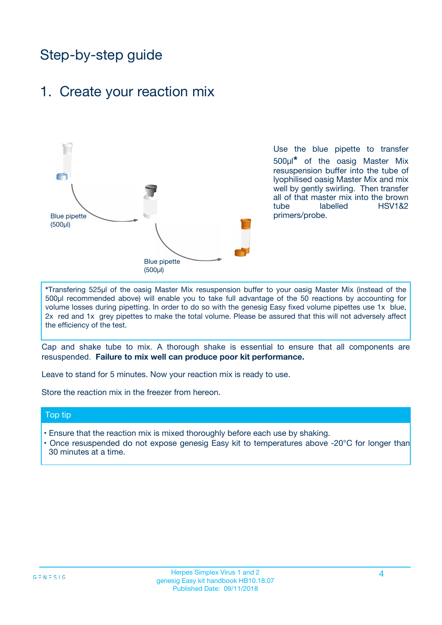# Step-by-step guide

### 1. Create your reaction mix



Use the blue pipette to transfer 500µl**\*** of the oasig Master Mix resuspension buffer into the tube of lyophilised oasig Master Mix and mix well by gently swirling. Then transfer all of that master mix into the brown tube labelled HSV1&2 primers/probe.

**\***Transfering 525µl of the oasig Master Mix resuspension buffer to your oasig Master Mix (instead of the 500µl recommended above) will enable you to take full advantage of the 50 reactions by accounting for volume losses during pipetting. In order to do so with the genesig Easy fixed volume pipettes use 1x blue, 2x red and 1x grey pipettes to make the total volume. Please be assured that this will not adversely affect the efficiency of the test.

Cap and shake tube to mix. A thorough shake is essential to ensure that all components are resuspended. **Failure to mix well can produce poor kit performance.**

Leave to stand for 5 minutes. Now your reaction mix is ready to use.

Store the reaction mix in the freezer from hereon.

#### Top tip

- Ensure that the reaction mix is mixed thoroughly before each use by shaking.
- Once resuspended do not expose genesig Easy kit to temperatures above -20°C for longer than 30 minutes at a time.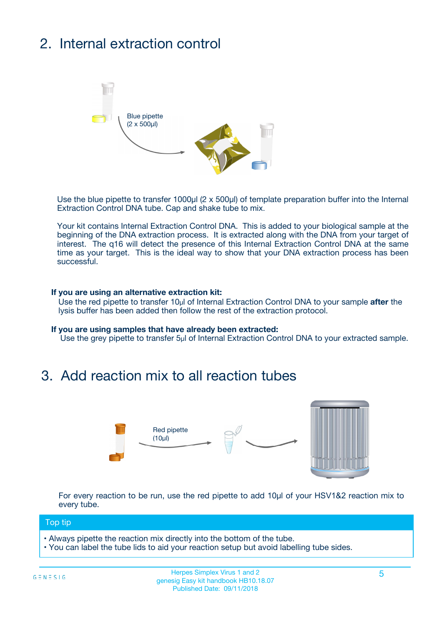# 2. Internal extraction control



Use the blue pipette to transfer 1000µl (2 x 500µl) of template preparation buffer into the Internal Extraction Control DNA tube. Cap and shake tube to mix.

Your kit contains Internal Extraction Control DNA. This is added to your biological sample at the beginning of the DNA extraction process. It is extracted along with the DNA from your target of interest. The q16 will detect the presence of this Internal Extraction Control DNA at the same time as your target. This is the ideal way to show that your DNA extraction process has been successful.

#### **If you are using an alternative extraction kit:**

Use the red pipette to transfer 10µl of Internal Extraction Control DNA to your sample **after** the lysis buffer has been added then follow the rest of the extraction protocol.

#### **If you are using samples that have already been extracted:**

Use the grey pipette to transfer 5µl of Internal Extraction Control DNA to your extracted sample.

## 3. Add reaction mix to all reaction tubes



For every reaction to be run, use the red pipette to add 10µl of your HSV1&2 reaction mix to every tube.

#### Top tip

- Always pipette the reaction mix directly into the bottom of the tube.
- You can label the tube lids to aid your reaction setup but avoid labelling tube sides.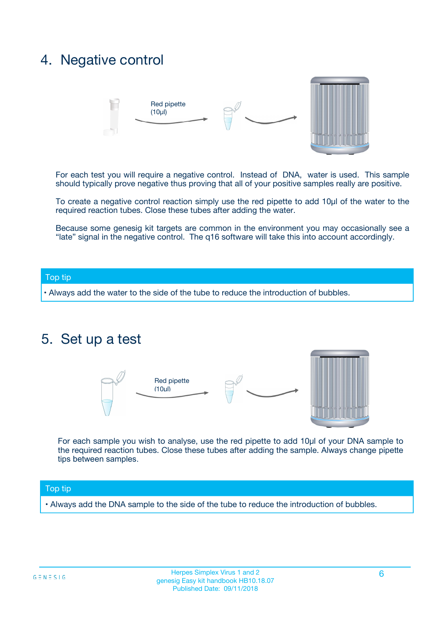## 4. Negative control



For each test you will require a negative control. Instead of DNA, water is used. This sample should typically prove negative thus proving that all of your positive samples really are positive.

To create a negative control reaction simply use the red pipette to add 10µl of the water to the required reaction tubes. Close these tubes after adding the water.

Because some genesig kit targets are common in the environment you may occasionally see a "late" signal in the negative control. The q16 software will take this into account accordingly.

#### Top tip

**•** Always add the water to the side of the tube to reduce the introduction of bubbles.

### 5. Set up a test



For each sample you wish to analyse, use the red pipette to add 10µl of your DNA sample to the required reaction tubes. Close these tubes after adding the sample. Always change pipette tips between samples.

#### Top tip

**•** Always add the DNA sample to the side of the tube to reduce the introduction of bubbles.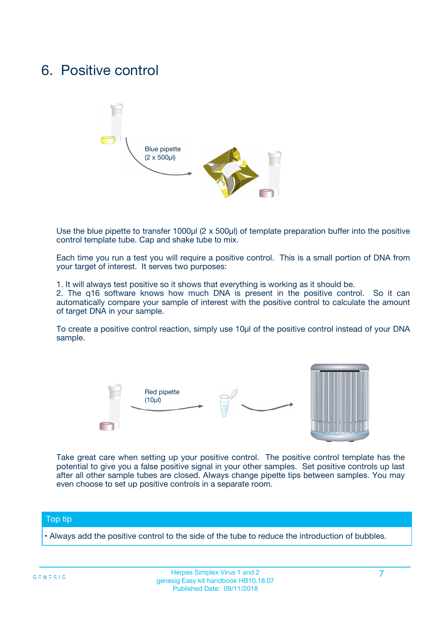## 6. Positive control



Use the blue pipette to transfer 1000µl (2 x 500µl) of template preparation buffer into the positive control template tube. Cap and shake tube to mix.

Each time you run a test you will require a positive control. This is a small portion of DNA from your target of interest. It serves two purposes:

1. It will always test positive so it shows that everything is working as it should be.

2. The q16 software knows how much DNA is present in the positive control. So it can automatically compare your sample of interest with the positive control to calculate the amount of target DNA in your sample.

To create a positive control reaction, simply use 10µl of the positive control instead of your DNA sample.



Take great care when setting up your positive control. The positive control template has the potential to give you a false positive signal in your other samples. Set positive controls up last after all other sample tubes are closed. Always change pipette tips between samples. You may even choose to set up positive controls in a separate room.

#### Top tip

**•** Always add the positive control to the side of the tube to reduce the introduction of bubbles.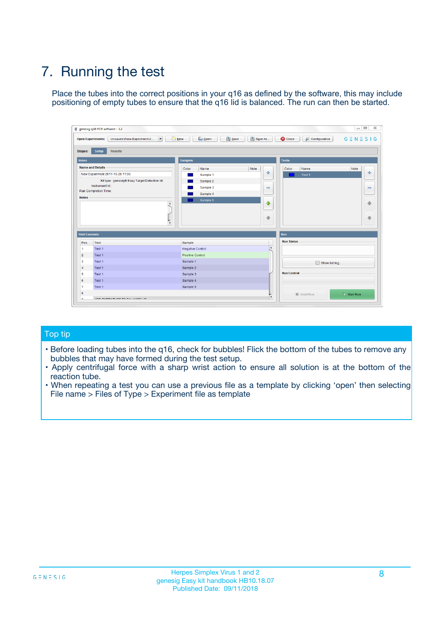# 7. Running the test

Place the tubes into the correct positions in your q16 as defined by the software, this may include positioning of empty tubes to ensure that the q16 lid is balanced. The run can then be started.

|                      | genesig q16 PCR software - 1.2                                               |                                   |                              |                                          | $\begin{array}{c c c c} \hline \multicolumn{3}{c }{\textbf{0}} & \multicolumn{3}{c }{\textbf{0}} \end{array}$<br>$\Sigma\!3$ |
|----------------------|------------------------------------------------------------------------------|-----------------------------------|------------------------------|------------------------------------------|------------------------------------------------------------------------------------------------------------------------------|
|                      | $\vert \cdot \vert$<br><b>Open Experiments:</b><br>Unsaved (New Experiment 2 | Open<br>Save<br>$\frac{1}{2}$ New | Save As                      | <b>C</b> Close<br><b>X</b> Configuration | $G \equiv N \equiv S \mid G$                                                                                                 |
| <b>Stages:</b>       | <b>Setup</b><br><b>Results</b>                                               |                                   |                              |                                          |                                                                                                                              |
| <b>Notes</b>         |                                                                              | <b>Samples</b>                    |                              | <b>Tests</b>                             |                                                                                                                              |
|                      | <b>Name and Details</b>                                                      | Color<br>Name                     | Note                         | Color<br>Name                            | Note                                                                                                                         |
|                      | New Experiment 2017-10-26 11:06                                              | Sample 1                          | ÷                            | Test 1                                   | ÷                                                                                                                            |
|                      | Kit type: genesig® Easy Target Detection kit                                 | Sample 2                          |                              |                                          |                                                                                                                              |
|                      | Instrument Id.:                                                              | Sample 3                          | $\qquad \qquad \blacksquare$ |                                          | $\qquad \qquad \blacksquare$                                                                                                 |
|                      | <b>Run Completion Time:</b>                                                  | Sample 4                          |                              |                                          |                                                                                                                              |
| <b>Notes</b>         |                                                                              | Sample 5                          |                              |                                          |                                                                                                                              |
|                      | <b>A</b>                                                                     |                                   | ♦                            |                                          | 4                                                                                                                            |
|                      |                                                                              |                                   |                              |                                          |                                                                                                                              |
|                      |                                                                              |                                   | ÷                            |                                          | ₩                                                                                                                            |
|                      | v                                                                            |                                   |                              |                                          |                                                                                                                              |
| <b>Well Contents</b> |                                                                              |                                   |                              | Run                                      |                                                                                                                              |
| Pos.                 | Test                                                                         | Sample                            |                              | <b>Run Status</b>                        |                                                                                                                              |
| $\mathbf{1}$         | Test 1                                                                       | Negative Control                  | $\blacktriangle$             |                                          |                                                                                                                              |
| $\overline{2}$       | Test 1                                                                       | <b>Positive Control</b>           |                              |                                          |                                                                                                                              |
| 3                    | Test 1                                                                       | Sample 1                          |                              | Show full log                            |                                                                                                                              |
| 4                    | Test 1                                                                       | Sample 2                          |                              |                                          |                                                                                                                              |
| 5                    | Test 1                                                                       | Sample 3                          |                              | <b>Run Control</b>                       |                                                                                                                              |
| 6                    | Test 1                                                                       | Sample 4                          |                              |                                          |                                                                                                                              |
| $\overline{7}$       | Test 1                                                                       | Sample 5                          |                              |                                          |                                                                                                                              |
| 8                    |                                                                              |                                   |                              | Abort Run                                | $\triangleright$ Start Run                                                                                                   |
|                      |                                                                              |                                   | $\boldsymbol{\mathrm{v}}$    |                                          |                                                                                                                              |

#### Top tip

- Before loading tubes into the q16, check for bubbles! Flick the bottom of the tubes to remove any bubbles that may have formed during the test setup.
- Apply centrifugal force with a sharp wrist action to ensure all solution is at the bottom of the reaction tube.
- When repeating a test you can use a previous file as a template by clicking 'open' then selecting File name > Files of Type > Experiment file as template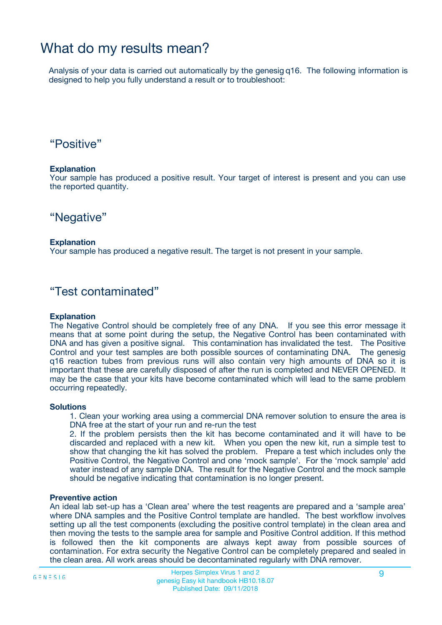## What do my results mean?

Analysis of your data is carried out automatically by the genesig q16. The following information is designed to help you fully understand a result or to troubleshoot:

### "Positive"

#### **Explanation**

Your sample has produced a positive result. Your target of interest is present and you can use the reported quantity.

"Negative"

#### **Explanation**

Your sample has produced a negative result. The target is not present in your sample.

### "Test contaminated"

#### **Explanation**

The Negative Control should be completely free of any DNA. If you see this error message it means that at some point during the setup, the Negative Control has been contaminated with DNA and has given a positive signal. This contamination has invalidated the test. The Positive Control and your test samples are both possible sources of contaminating DNA. The genesig q16 reaction tubes from previous runs will also contain very high amounts of DNA so it is important that these are carefully disposed of after the run is completed and NEVER OPENED. It may be the case that your kits have become contaminated which will lead to the same problem occurring repeatedly.

#### **Solutions**

1. Clean your working area using a commercial DNA remover solution to ensure the area is DNA free at the start of your run and re-run the test

2. If the problem persists then the kit has become contaminated and it will have to be discarded and replaced with a new kit. When you open the new kit, run a simple test to show that changing the kit has solved the problem. Prepare a test which includes only the Positive Control, the Negative Control and one 'mock sample'. For the 'mock sample' add water instead of any sample DNA. The result for the Negative Control and the mock sample should be negative indicating that contamination is no longer present.

#### **Preventive action**

An ideal lab set-up has a 'Clean area' where the test reagents are prepared and a 'sample area' where DNA samples and the Positive Control template are handled. The best workflow involves setting up all the test components (excluding the positive control template) in the clean area and then moving the tests to the sample area for sample and Positive Control addition. If this method is followed then the kit components are always kept away from possible sources of contamination. For extra security the Negative Control can be completely prepared and sealed in the clean area. All work areas should be decontaminated regularly with DNA remover.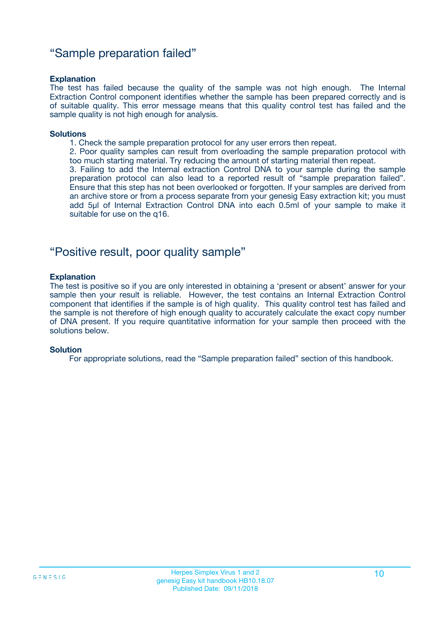### "Sample preparation failed"

#### **Explanation**

The test has failed because the quality of the sample was not high enough. The Internal Extraction Control component identifies whether the sample has been prepared correctly and is of suitable quality. This error message means that this quality control test has failed and the sample quality is not high enough for analysis.

#### **Solutions**

1. Check the sample preparation protocol for any user errors then repeat.

2. Poor quality samples can result from overloading the sample preparation protocol with too much starting material. Try reducing the amount of starting material then repeat.

3. Failing to add the Internal extraction Control DNA to your sample during the sample preparation protocol can also lead to a reported result of "sample preparation failed". Ensure that this step has not been overlooked or forgotten. If your samples are derived from an archive store or from a process separate from your genesig Easy extraction kit; you must add 5µl of Internal Extraction Control DNA into each 0.5ml of your sample to make it suitable for use on the q16.

### "Positive result, poor quality sample"

#### **Explanation**

The test is positive so if you are only interested in obtaining a 'present or absent' answer for your sample then your result is reliable. However, the test contains an Internal Extraction Control component that identifies if the sample is of high quality. This quality control test has failed and the sample is not therefore of high enough quality to accurately calculate the exact copy number of DNA present. If you require quantitative information for your sample then proceed with the solutions below.

#### **Solution**

For appropriate solutions, read the "Sample preparation failed" section of this handbook.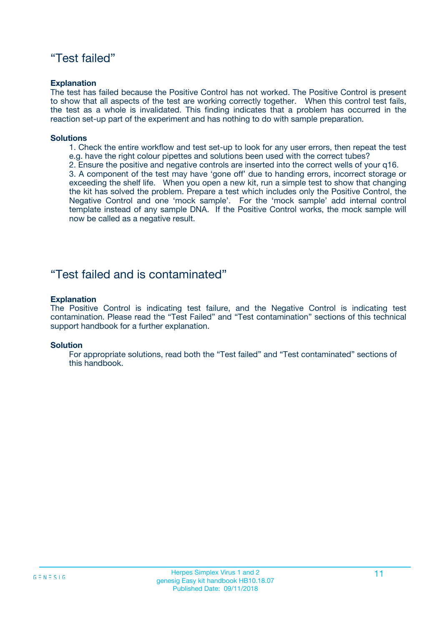### "Test failed"

#### **Explanation**

The test has failed because the Positive Control has not worked. The Positive Control is present to show that all aspects of the test are working correctly together. When this control test fails, the test as a whole is invalidated. This finding indicates that a problem has occurred in the reaction set-up part of the experiment and has nothing to do with sample preparation.

#### **Solutions**

- 1. Check the entire workflow and test set-up to look for any user errors, then repeat the test e.g. have the right colour pipettes and solutions been used with the correct tubes?
- 2. Ensure the positive and negative controls are inserted into the correct wells of your q16.

3. A component of the test may have 'gone off' due to handing errors, incorrect storage or exceeding the shelf life. When you open a new kit, run a simple test to show that changing the kit has solved the problem. Prepare a test which includes only the Positive Control, the Negative Control and one 'mock sample'. For the 'mock sample' add internal control template instead of any sample DNA. If the Positive Control works, the mock sample will now be called as a negative result.

### "Test failed and is contaminated"

#### **Explanation**

The Positive Control is indicating test failure, and the Negative Control is indicating test contamination. Please read the "Test Failed" and "Test contamination" sections of this technical support handbook for a further explanation.

#### **Solution**

For appropriate solutions, read both the "Test failed" and "Test contaminated" sections of this handbook.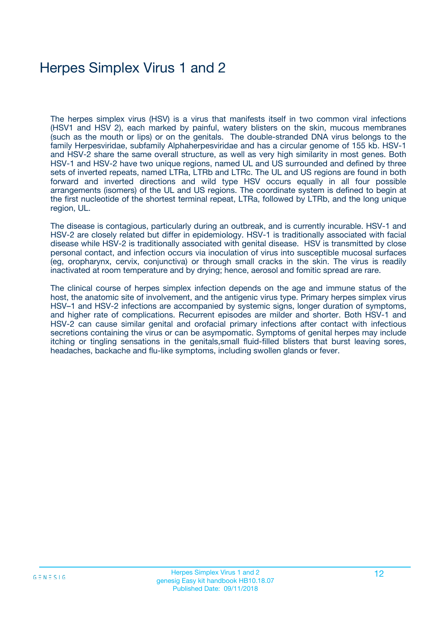# Herpes Simplex Virus 1 and 2

The herpes simplex virus (HSV) is a virus that manifests itself in two common viral infections (HSV1 and HSV 2), each marked by painful, watery blisters on the skin, mucous membranes (such as the mouth or lips) or on the genitals. The double-stranded DNA virus belongs to the family Herpesviridae, subfamily Alphaherpesviridae and has a circular genome of 155 kb. HSV-1 and HSV-2 share the same overall structure, as well as very high similarity in most genes. Both HSV-1 and HSV-2 have two unique regions, named UL and US surrounded and defined by three sets of inverted repeats, named LTRa, LTRb and LTRc. The UL and US regions are found in both forward and inverted directions and wild type HSV occurs equally in all four possible arrangements (isomers) of the UL and US regions. The coordinate system is defined to begin at the first nucleotide of the shortest terminal repeat, LTRa, followed by LTRb, and the long unique region, UL.

The disease is contagious, particularly during an outbreak, and is currently incurable. HSV-1 and HSV-2 are closely related but differ in epidemiology. HSV-1 is traditionally associated with facial disease while HSV-2 is traditionally associated with genital disease. HSV is transmitted by close personal contact, and infection occurs via inoculation of virus into susceptible mucosal surfaces (eg, oropharynx, cervix, conjunctiva) or through small cracks in the skin. The virus is readily inactivated at room temperature and by drying; hence, aerosol and fomitic spread are rare.

The clinical course of herpes simplex infection depends on the age and immune status of the host, the anatomic site of involvement, and the antigenic virus type. Primary herpes simplex virus HSV–1 and HSV-2 infections are accompanied by systemic signs, longer duration of symptoms, and higher rate of complications. Recurrent episodes are milder and shorter. Both HSV-1 and HSV-2 can cause similar genital and orofacial primary infections after contact with infectious secretions containing the virus or can be asympomatic. Symptoms of genital herpes may include itching or tingling sensations in the genitals,small fluid-filled blisters that burst leaving sores, headaches, backache and flu-like symptoms, including swollen glands or fever.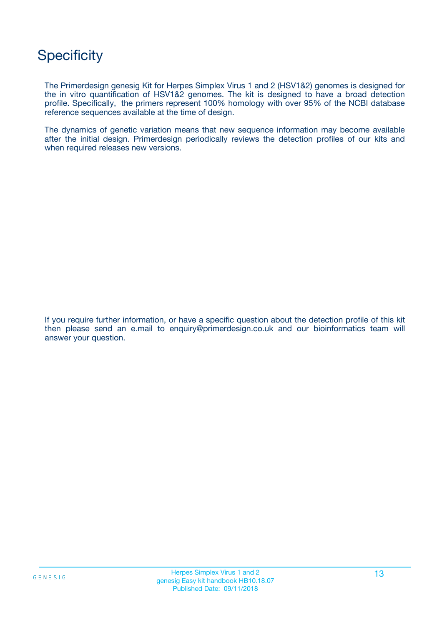# **Specificity**

The Primerdesign genesig Kit for Herpes Simplex Virus 1 and 2 (HSV1&2) genomes is designed for the in vitro quantification of HSV1&2 genomes. The kit is designed to have a broad detection profile. Specifically, the primers represent 100% homology with over 95% of the NCBI database reference sequences available at the time of design.

The dynamics of genetic variation means that new sequence information may become available after the initial design. Primerdesign periodically reviews the detection profiles of our kits and when required releases new versions.

If you require further information, or have a specific question about the detection profile of this kit then please send an e.mail to enquiry@primerdesign.co.uk and our bioinformatics team will answer your question.